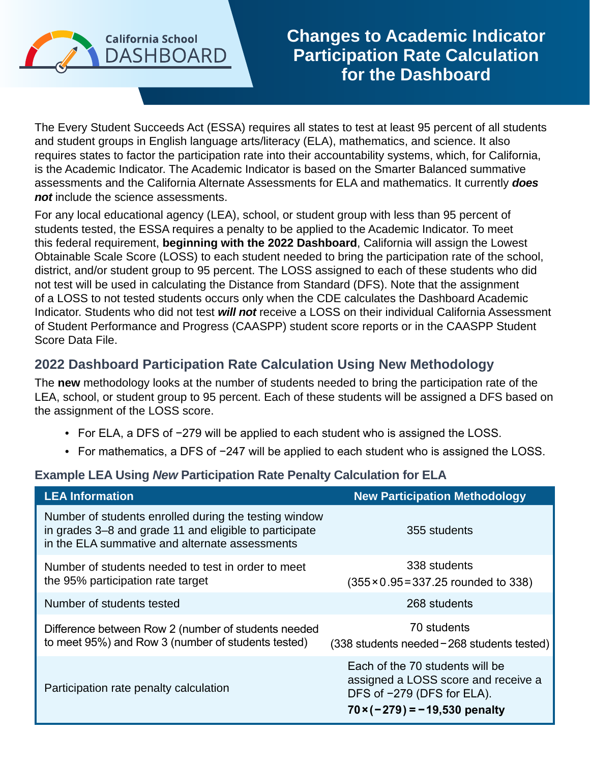

**Changes to Academic Indicator Participation Rate Calculation for the Dashboard**

The Every Student Succeeds Act (ESSA) requires all states to test at least 95 percent of all students and student groups in English language arts/literacy (ELA), mathematics, and science. It also requires states to factor the participation rate into their accountability systems, which, for California, is the Academic Indicator. The Academic Indicator is based on the Smarter Balanced summative assessments and the California Alternate Assessments for ELA and mathematics. It currently *does not* include the science assessments.

For any local educational agency (LEA), school, or student group with less than 95 percent of students tested, the ESSA requires a penalty to be applied to the Academic Indicator. To meet this federal requirement, **beginning with the 2022 Dashboard**, California will assign the Lowest Obtainable Scale Score (LOSS) to each student needed to bring the participation rate of the school, district, and/or student group to 95 percent. The LOSS assigned to each of these students who did not test will be used in calculating the Distance from Standard (DFS). Note that the assignment of a LOSS to not tested students occurs only when the CDE calculates the Dashboard Academic Indicator. Students who did not test *will not* receive a LOSS on their individual California Assessment of Student Performance and Progress (CAASPP) student score reports or in the CAASPP Student Score Data File.

## **2022 Dashboard Participation Rate Calculation Using New Methodology**

The **new** methodology looks at the number of students needed to bring the participation rate of the LEA, school, or student group to 95 percent. Each of these students will be assigned a DFS based on the assignment of the LOSS score.

- For ELA, a DFS of −279 will be applied to each student who is assigned the LOSS.
- For mathematics, a DFS of −247 will be applied to each student who is assigned the LOSS.

## **Example LEA Using** *New* **Participation Rate Penalty Calculation for ELA**

| <b>LEA Information</b>                                                                                                                                            | <b>New Participation Methodology</b>                                                                                                         |
|-------------------------------------------------------------------------------------------------------------------------------------------------------------------|----------------------------------------------------------------------------------------------------------------------------------------------|
| Number of students enrolled during the testing window<br>in grades 3–8 and grade 11 and eligible to participate<br>in the ELA summative and alternate assessments | 355 students                                                                                                                                 |
| Number of students needed to test in order to meet<br>the 95% participation rate target                                                                           | 338 students<br>$(355 \times 0.95 = 337.25$ rounded to 338)                                                                                  |
| Number of students tested                                                                                                                                         | 268 students                                                                                                                                 |
| Difference between Row 2 (number of students needed<br>to meet 95%) and Row 3 (number of students tested)                                                         | 70 students<br>(338 students needed-268 students tested)                                                                                     |
| Participation rate penalty calculation                                                                                                                            | Each of the 70 students will be<br>assigned a LOSS score and receive a<br>DFS of -279 (DFS for ELA).<br>$70 \times (-279) = -19,530$ penalty |